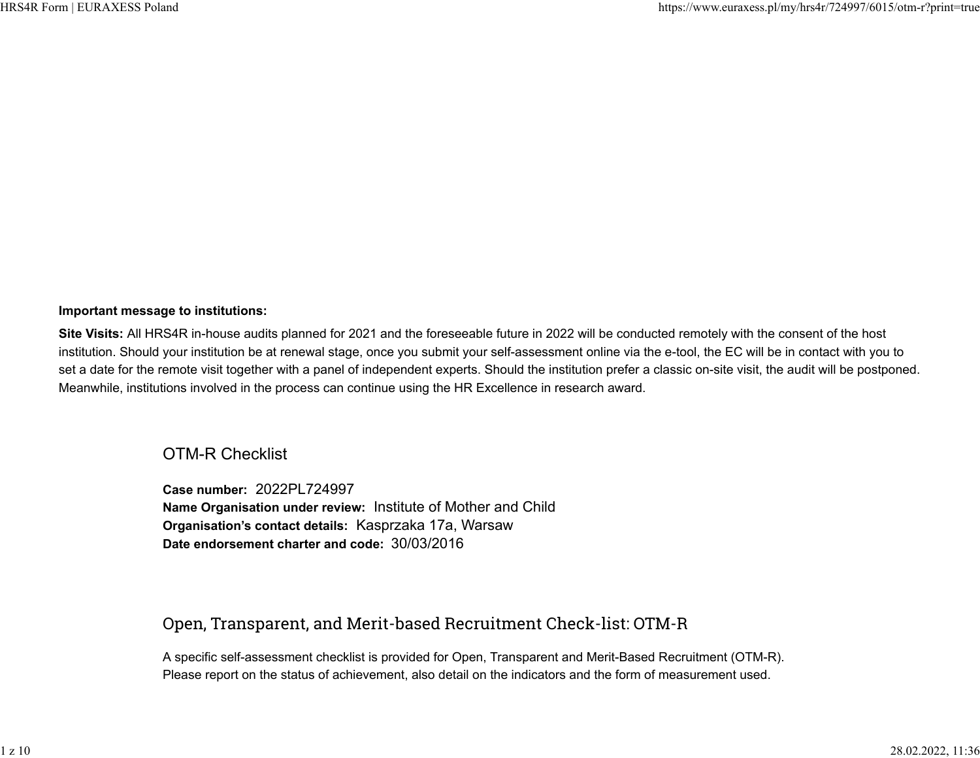## **Important message to institutions:**

**Site Visits:** All HRS4R in-house audits planned for 2021 and the foreseeable future in 2022 will be conducted remotely with the consent of the host institution. Should your institution be at renewal stage, once you submit your self-assessment online via the e-tool, the EC will be in contact with you to set a date for the remote visit together with a panel of independent experts. Should the institution prefer a classic on-site visit, the audit will be postponed. Meanwhile, institutions involved in the process can continue using the HR Excellence in research award.

## OTM-R Checklist

**Case number:** 2022PL724997 **Name Organisation under review:** Institute of Mother and Child **Organisation's contact details:** Kasprzaka 17a, Warsaw **Date endorsement charter and code:** 30/03/2016

## Open, Transparent, and Merit-based Recruitment Check-list: OTM-R

A specific self-assessment checklist is provided for Open, Transparent and Merit-Based Recruitment (OTM-R). Please report on the status of achievement, also detail on the indicators and the form of measurement used.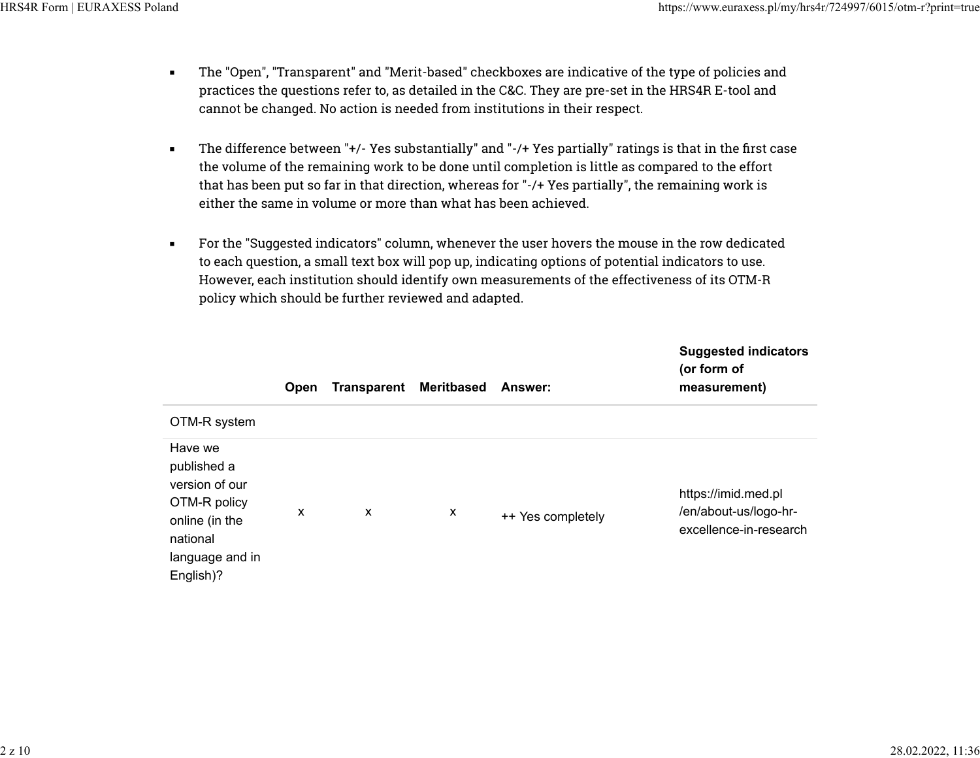- The "Open", "Transparent" and "Merit-based" checkboxes are indicative of the type of policies and practices the questions refer to, as detailed in the C&C. They are pre-set in the HRS4R E-tool and cannot be changed. No action is needed from institutions in their respect.
- The difference between "+/- Yes substantially" and "-/+ Yes partially" ratings is that in the first case the volume of the remaining work to be done until completion is little as compared to the effort that has been put so far in that direction, whereas for "-/+ Yes partially", the remaining work is either the same in volume or more than what has been achieved.
- For the "Suggested indicators" column, whenever the user hovers the mouse in the row dedicated to each question, a small text box will pop up, indicating options of potential indicators to use. However, each institution should identify own measurements of the effectiveness of its OTM-R policy which should be further reviewed and adapted.

|                                                                                                                        | Open | <b>Transparent</b> | <b>Meritbased</b> | <b>Answer:</b>    | <b>Suggested indicators</b><br>(or form of<br>measurement)             |
|------------------------------------------------------------------------------------------------------------------------|------|--------------------|-------------------|-------------------|------------------------------------------------------------------------|
| OTM-R system                                                                                                           |      |                    |                   |                   |                                                                        |
| Have we<br>published a<br>version of our<br>OTM-R policy<br>online (in the<br>national<br>language and in<br>English)? | X    | x                  | X                 | ++ Yes completely | https://imid.med.pl<br>/en/about-us/logo-hr-<br>excellence-in-research |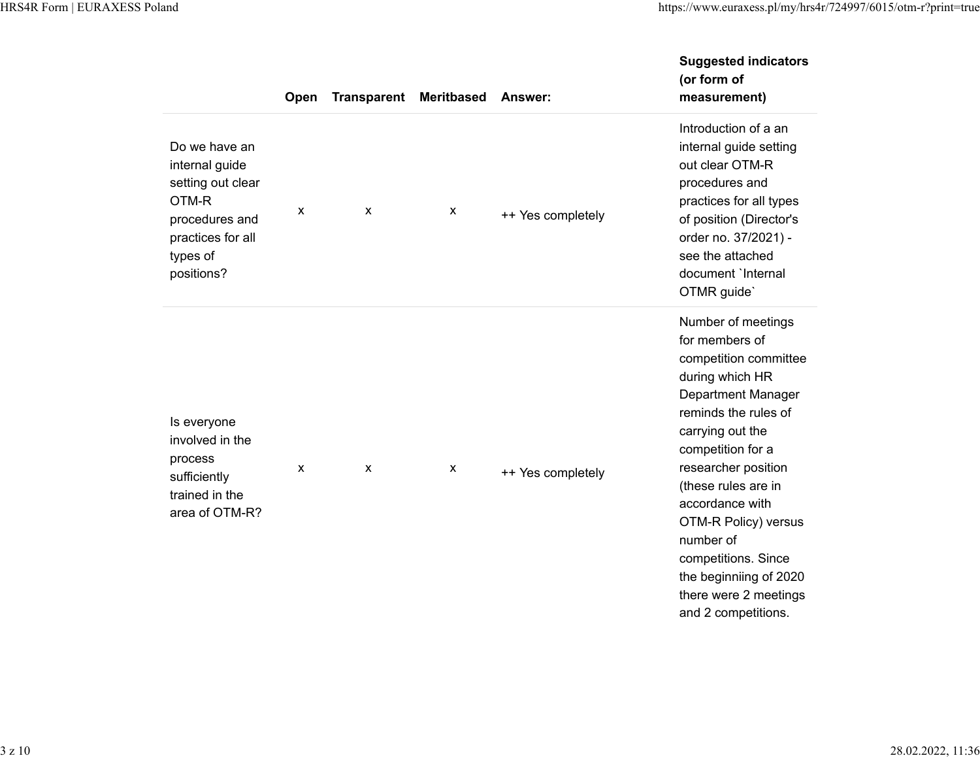|                                                                                                                                | Open | <b>Transparent</b> | <b>Meritbased</b> | Answer:           | <b>Suggested indicators</b><br>(or form of<br>measurement)                                                                                                                                                                                                                                                                                                                            |
|--------------------------------------------------------------------------------------------------------------------------------|------|--------------------|-------------------|-------------------|---------------------------------------------------------------------------------------------------------------------------------------------------------------------------------------------------------------------------------------------------------------------------------------------------------------------------------------------------------------------------------------|
| Do we have an<br>internal guide<br>setting out clear<br>OTM-R<br>procedures and<br>practices for all<br>types of<br>positions? | X    | X                  | x                 | ++ Yes completely | Introduction of a an<br>internal guide setting<br>out clear OTM-R<br>procedures and<br>practices for all types<br>of position (Director's<br>order no. 37/2021) -<br>see the attached<br>document 'Internal<br>OTMR guide'                                                                                                                                                            |
| Is everyone<br>involved in the<br>process<br>sufficiently<br>trained in the<br>area of OTM-R?                                  | X    | $\mathsf{x}$       | x                 | ++ Yes completely | Number of meetings<br>for members of<br>competition committee<br>during which HR<br><b>Department Manager</b><br>reminds the rules of<br>carrying out the<br>competition for a<br>researcher position<br>(these rules are in<br>accordance with<br>OTM-R Policy) versus<br>number of<br>competitions. Since<br>the beginniing of 2020<br>there were 2 meetings<br>and 2 competitions. |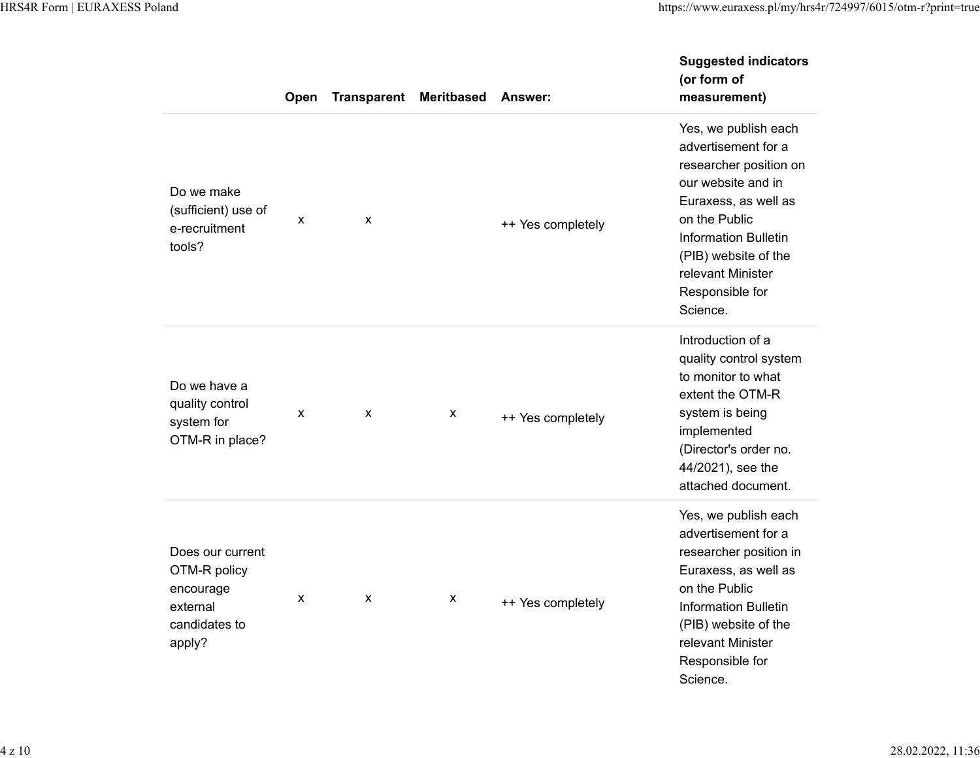|                                                                                      | Open | <b>Transparent</b> | <b>Meritbased</b>         | Answer:           | <b>Suggested indicators</b><br>(or form of<br>measurement)                                                                                                                                                                                      |
|--------------------------------------------------------------------------------------|------|--------------------|---------------------------|-------------------|-------------------------------------------------------------------------------------------------------------------------------------------------------------------------------------------------------------------------------------------------|
| Do we make<br>(sufficient) use of<br>e-recruitment<br>tools?                         | X    | X                  |                           | ++ Yes completely | Yes, we publish each<br>advertisement for a<br>researcher position on<br>our website and in<br>Euraxess, as well as<br>on the Public<br><b>Information Bulletin</b><br>(PIB) website of the<br>relevant Minister<br>Responsible for<br>Science. |
| Do we have a<br>quality control<br>system for<br>OTM-R in place?                     | X    | X                  | X                         | ++ Yes completely | Introduction of a<br>quality control system<br>to monitor to what<br>extent the OTM-R<br>system is being<br>implemented<br>(Director's order no.<br>44/2021), see the<br>attached document.                                                     |
| Does our current<br>OTM-R policy<br>encourage<br>external<br>candidates to<br>apply? | X    | X                  | $\boldsymbol{\mathsf{x}}$ | ++ Yes completely | Yes, we publish each<br>advertisement for a<br>researcher position in<br>Euraxess, as well as<br>on the Public<br><b>Information Bulletin</b><br>(PIB) website of the<br>relevant Minister<br>Responsible for<br>Science.                       |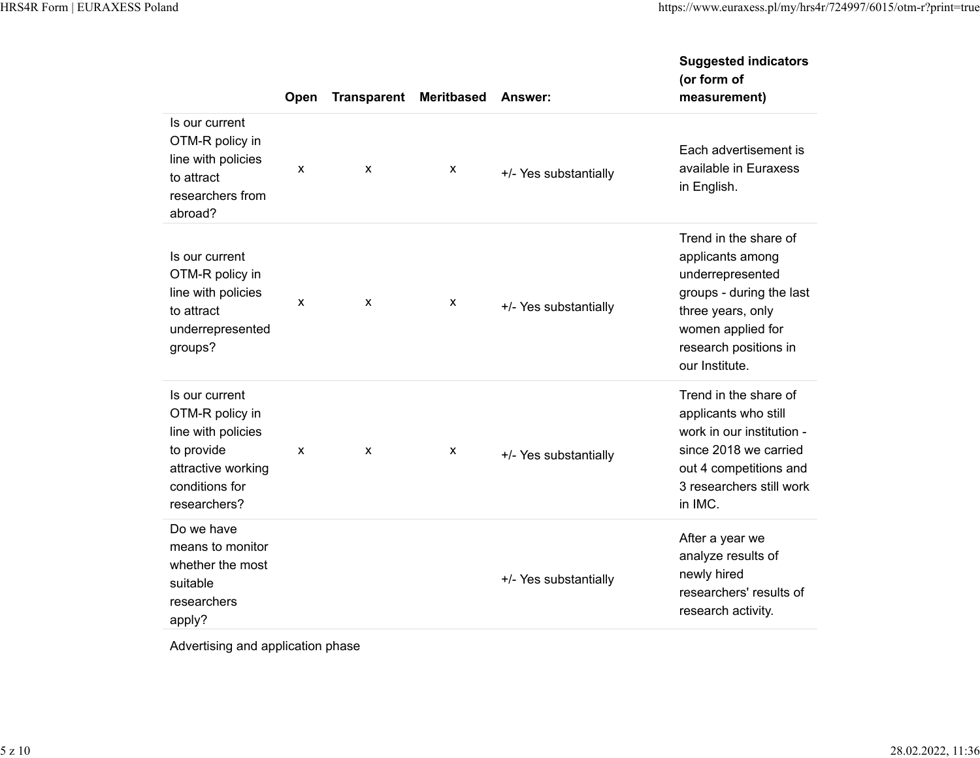|                                                                                                                               | Open | <b>Transparent</b> | <b>Meritbased</b> | <b>Answer:</b>        | <b>Suggested indicators</b><br>(or form of<br>measurement)                                                                                                                     |
|-------------------------------------------------------------------------------------------------------------------------------|------|--------------------|-------------------|-----------------------|--------------------------------------------------------------------------------------------------------------------------------------------------------------------------------|
| Is our current<br>OTM-R policy in<br>line with policies<br>to attract<br>researchers from<br>abroad?                          | X    | X                  | X                 | +/- Yes substantially | Each advertisement is<br>available in Euraxess<br>in English.                                                                                                                  |
| Is our current<br>OTM-R policy in<br>line with policies<br>to attract<br>underrepresented<br>groups?                          | X    | X                  | X                 | +/- Yes substantially | Trend in the share of<br>applicants among<br>underrepresented<br>groups - during the last<br>three years, only<br>women applied for<br>research positions in<br>our Institute. |
| Is our current<br>OTM-R policy in<br>line with policies<br>to provide<br>attractive working<br>conditions for<br>researchers? | X    | X                  | X                 | +/- Yes substantially | Trend in the share of<br>applicants who still<br>work in our institution -<br>since 2018 we carried<br>out 4 competitions and<br>3 researchers still work<br>in IMC.           |
| Do we have<br>means to monitor<br>whether the most<br>suitable<br>researchers<br>apply?                                       |      |                    |                   | +/- Yes substantially | After a year we<br>analyze results of<br>newly hired<br>researchers' results of<br>research activity.                                                                          |

Advertising and application phase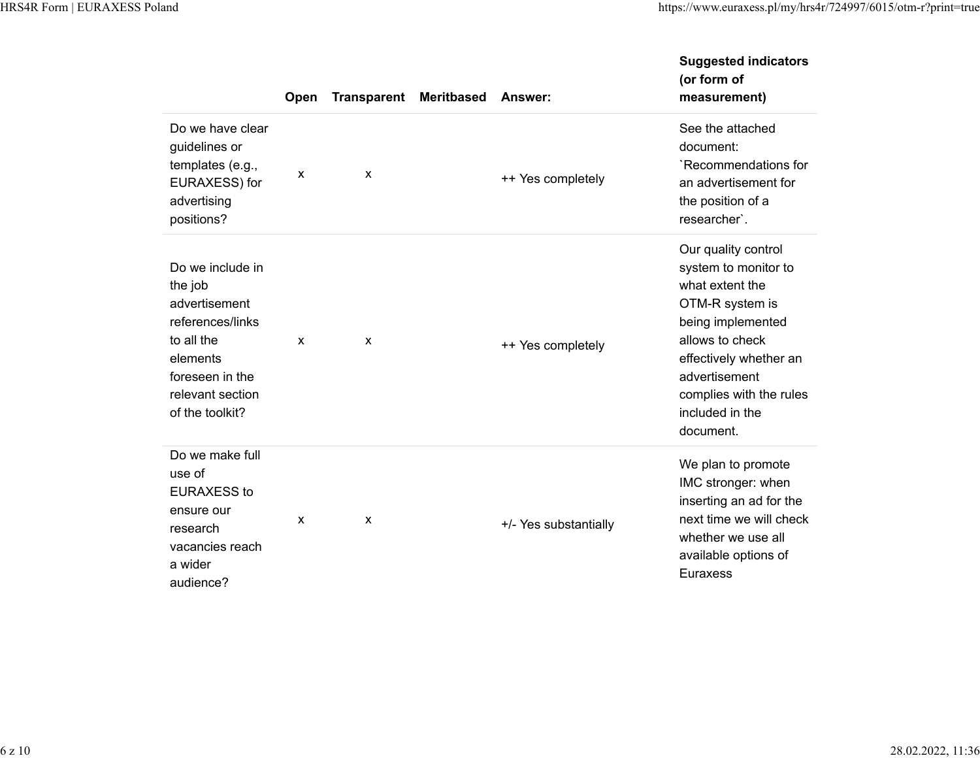|                                                                                                                                                      | Open         | <b>Transparent</b>        | <b>Meritbased</b> | Answer:               | <b>Suggested indicators</b><br>(or form of<br>measurement)                                                                                                                                                                      |
|------------------------------------------------------------------------------------------------------------------------------------------------------|--------------|---------------------------|-------------------|-----------------------|---------------------------------------------------------------------------------------------------------------------------------------------------------------------------------------------------------------------------------|
| Do we have clear<br>guidelines or<br>templates (e.g.,<br>EURAXESS) for<br>advertising<br>positions?                                                  | $\mathsf{x}$ | X                         |                   | ++ Yes completely     | See the attached<br>document:<br>`Recommendations for<br>an advertisement for<br>the position of a<br>researcher'.                                                                                                              |
| Do we include in<br>the job<br>advertisement<br>references/links<br>to all the<br>elements<br>foreseen in the<br>relevant section<br>of the toolkit? | $\mathsf{x}$ | X                         |                   | ++ Yes completely     | Our quality control<br>system to monitor to<br>what extent the<br>OTM-R system is<br>being implemented<br>allows to check<br>effectively whether an<br>advertisement<br>complies with the rules<br>included in the<br>document. |
| Do we make full<br>use of<br><b>EURAXESS to</b><br>ensure our<br>research<br>vacancies reach<br>a wider<br>audience?                                 | $\mathsf{x}$ | $\boldsymbol{\mathsf{x}}$ |                   | +/- Yes substantially | We plan to promote<br>IMC stronger: when<br>inserting an ad for the<br>next time we will check<br>whether we use all<br>available options of<br><b>Euraxess</b>                                                                 |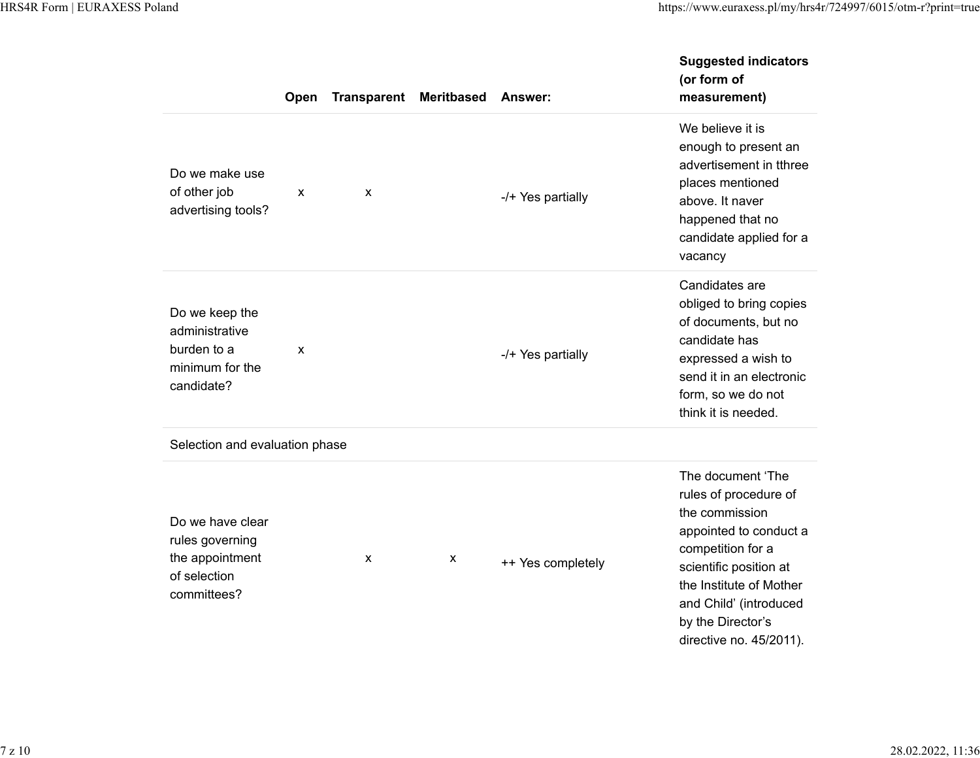|                                                                                       | Open | <b>Transparent</b> | <b>Meritbased</b> | Answer:           | <b>Suggested indicators</b><br>(or form of<br>measurement)                                                                                                                                                                                 |
|---------------------------------------------------------------------------------------|------|--------------------|-------------------|-------------------|--------------------------------------------------------------------------------------------------------------------------------------------------------------------------------------------------------------------------------------------|
| Do we make use<br>of other job<br>advertising tools?                                  | X    | X                  |                   | -/+ Yes partially | We believe it is<br>enough to present an<br>advertisement in tthree<br>places mentioned<br>above. It naver<br>happened that no<br>candidate applied for a<br>vacancy                                                                       |
| Do we keep the<br>administrative<br>burden to a<br>minimum for the<br>candidate?      | X    |                    |                   | -/+ Yes partially | Candidates are<br>obliged to bring copies<br>of documents, but no<br>candidate has<br>expressed a wish to<br>send it in an electronic<br>form, so we do not<br>think it is needed.                                                         |
| Selection and evaluation phase                                                        |      |                    |                   |                   |                                                                                                                                                                                                                                            |
| Do we have clear<br>rules governing<br>the appointment<br>of selection<br>committees? |      | X                  | x                 | ++ Yes completely | The document 'The<br>rules of procedure of<br>the commission<br>appointed to conduct a<br>competition for a<br>scientific position at<br>the Institute of Mother<br>and Child' (introduced<br>by the Director's<br>directive no. 45/2011). |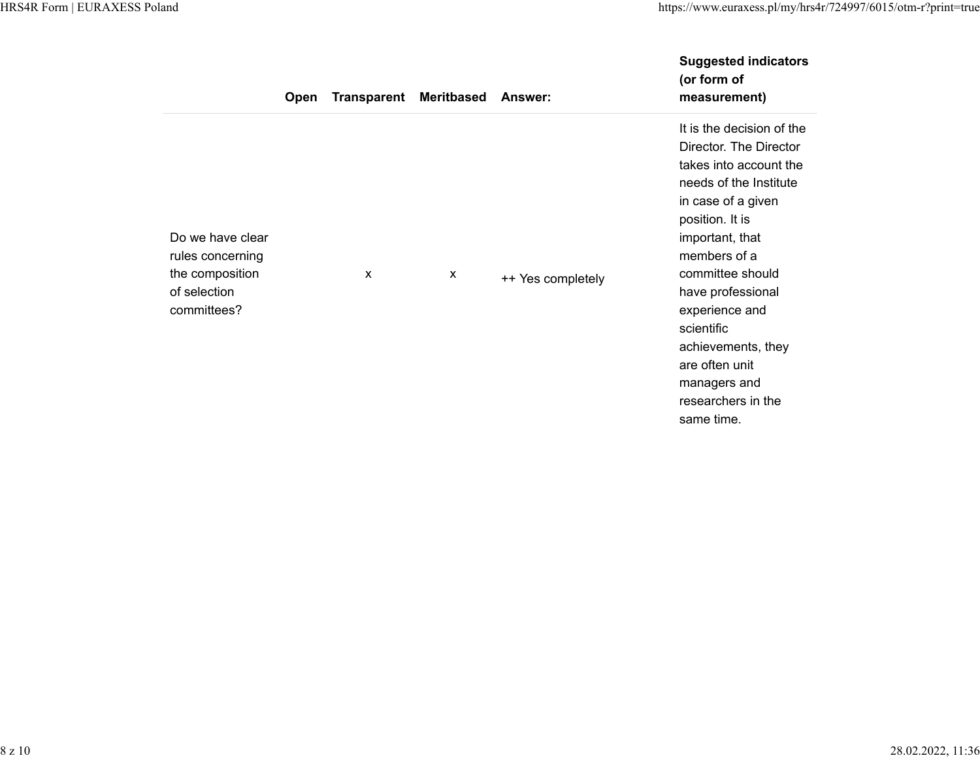|                                                                                        | <b>Open</b> | <b>Transparent Meritbased</b> |   | Answer:           | <b>Suggested indicators</b><br>(or form of<br>measurement)                                                                                                                                                                                                                                                                                               |
|----------------------------------------------------------------------------------------|-------------|-------------------------------|---|-------------------|----------------------------------------------------------------------------------------------------------------------------------------------------------------------------------------------------------------------------------------------------------------------------------------------------------------------------------------------------------|
| Do we have clear<br>rules concerning<br>the composition<br>of selection<br>committees? |             | $\boldsymbol{\mathsf{x}}$     | X | ++ Yes completely | It is the decision of the<br>Director. The Director<br>takes into account the<br>needs of the Institute<br>in case of a given<br>position. It is<br>important, that<br>members of a<br>committee should<br>have professional<br>experience and<br>scientific<br>achievements, they<br>are often unit<br>managers and<br>researchers in the<br>same time. |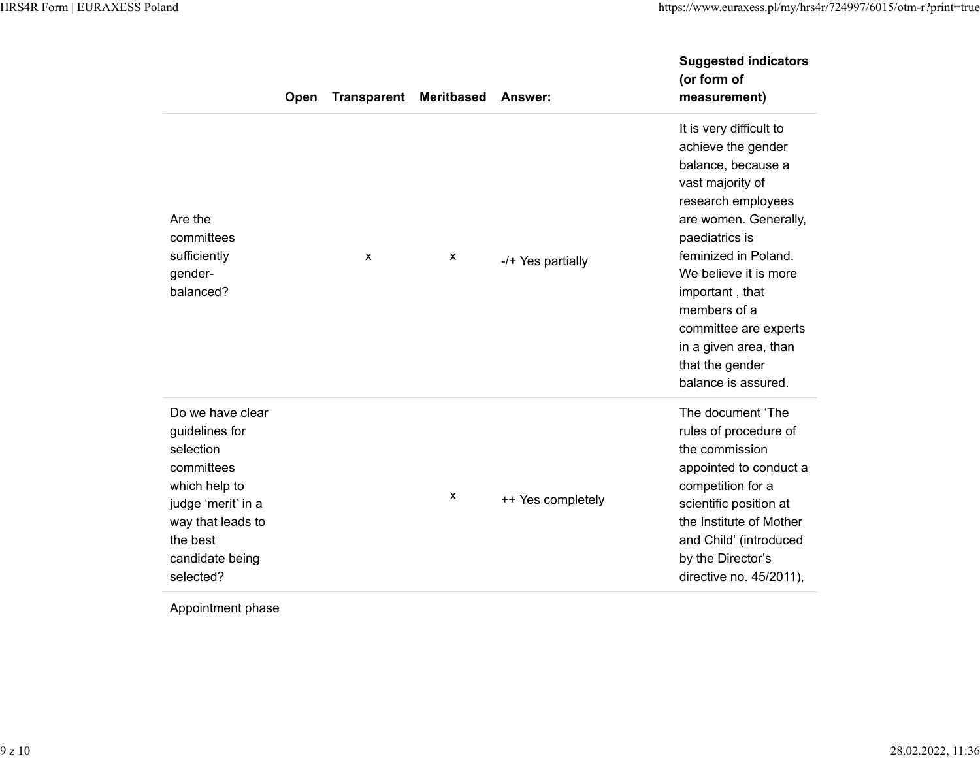|                                                                                                                                                                       | Open | <b>Transparent</b> | <b>Meritbased</b> | Answer:           | <b>Suggested indicators</b><br>(or form of<br>measurement)                                                                                                                                                                                                                                                                               |
|-----------------------------------------------------------------------------------------------------------------------------------------------------------------------|------|--------------------|-------------------|-------------------|------------------------------------------------------------------------------------------------------------------------------------------------------------------------------------------------------------------------------------------------------------------------------------------------------------------------------------------|
| Are the<br>committees<br>sufficiently<br>gender-<br>balanced?                                                                                                         |      | X                  | X                 | -/+ Yes partially | It is very difficult to<br>achieve the gender<br>balance, because a<br>vast majority of<br>research employees<br>are women. Generally,<br>paediatrics is<br>feminized in Poland.<br>We believe it is more<br>important, that<br>members of a<br>committee are experts<br>in a given area, than<br>that the gender<br>balance is assured. |
| Do we have clear<br>guidelines for<br>selection<br>committees<br>which help to<br>judge 'merit' in a<br>way that leads to<br>the best<br>candidate being<br>selected? |      |                    | X                 | ++ Yes completely | The document 'The<br>rules of procedure of<br>the commission<br>appointed to conduct a<br>competition for a<br>scientific position at<br>the Institute of Mother<br>and Child' (introduced<br>by the Director's<br>directive no. 45/2011),                                                                                               |

Appointment phase